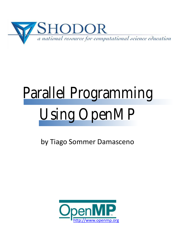

# Parallel Programming Using OpenMP

by Tiago Sommer Damasceno

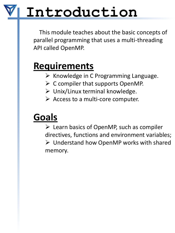### **Introduction**

This module teaches about the basic concepts of parallel programming that uses a multi-threading API called OpenMP.

#### **Requirements**

- $\triangleright$  Knowledge in C Programming Language.
- $\triangleright$  C compiler that supports OpenMP.
- $\triangleright$  Unix/Linux terminal knowledge.
- $\triangleright$  Access to a multi-core computer.

#### **Goals**

 $\triangleright$  Learn basics of OpenMP, such as compiler directives, functions and environment variables; Understand how OpenMP works with shared memory.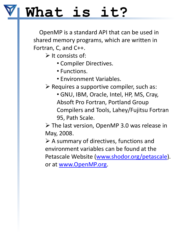### **What is it?**

OpenMP is a standard API that can be used in shared memory programs, which are written in Fortran, C, and C++.

 $\triangleright$  It consists of:

- Compiler Directives.
- Functions.
- Environment Variables.
- $\triangleright$  Requires a supportive compiler, such as:
	- GNU, IBM, Oracle, Intel, HP, MS, Cray, Absoft Pro Fortran, Portland Group Compilers and Tools, Lahey/Fujitsu Fortran 95, Path Scale.

 The last version, OpenMP 3.0 was release in May, 2008.

 $\triangleright$  A summary of directives, functions and environment variables can be found at the Petascale Website [\(www.shodor.org/petascale](http://www.shodor.org/petascale)). or at [www.OpenMP.org.](http://www.openmp.org/)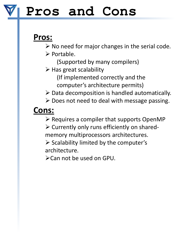#### **Pros and Cons**

#### **Pros:**

 $\triangleright$  No need for major changes in the serial code.

- $\triangleright$  Portable.
	- (Supported by many compilers)
- $\triangleright$  Has great scalability
	- (If implemented correctly and the computer's architecture permits)
- $\triangleright$  Data decomposition is handled automatically.
- $\triangleright$  Does not need to deal with message passing.

#### **Cons:**

 $\triangleright$  Requires a compiler that supports OpenMP

 $\triangleright$  Currently only runs efficiently on shared-

memory multiprocessors architectures.

 $\triangleright$  Scalability limited by the computer's architecture.

Can not be used on GPU.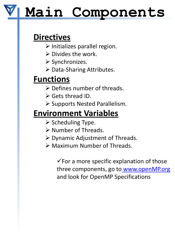# **Main Components**

#### **Directives**

- $\triangleright$  Initializes parallel region.
- $\triangleright$  Divides the work.
- $\triangleright$  Synchronizes.
- $\triangleright$  Data-Sharing Attributes.

#### **Functions**

- $\triangleright$  Defines number of threads.
- $\triangleright$  Gets thread ID.
- $\triangleright$  Supports Nested Parallelism.

#### **Environment Variables**

- $\triangleright$  Scheduling Type.
- $\triangleright$  Number of Threads.
- $\triangleright$  Dynamic Adjustment of Threads.
- Maximum Number of Threads.

 $\checkmark$  For a more specific explanation of those three components, go to www.openMP.org and look for OpenMP Specifications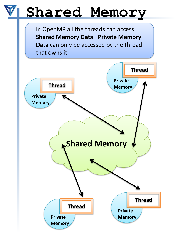# **Shared Memory**

In OpenMP all the threads can access **Shared Memory Data**. **Private Memory Data** can only be accessed by the thread that owns it.

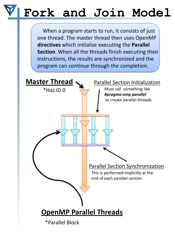# **Fork and Join Model**

When a program starts to run, it consists of just one thread. The master thread then uses OpenMP **directives** which initialize executing the **Parallel Section**. When all the threads finish executing their instructions, the results are synchronized and the program can continue through the completion.

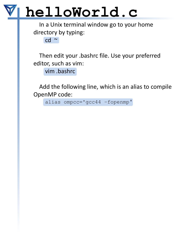In a Unix terminal window go to your home directory by typing:

cd ~

Then edit your .bashrc file. Use your preferred editor, such as vim:

vim .bashrc

Add the following line, which is an alias to compile OpenMP code:

alias ompcc='gcc44 –fopenmp'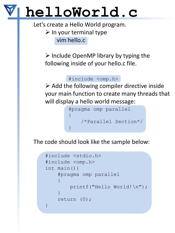Let's create a Hello World program.

 $\triangleright$  In your terminal type vim hello.c

 $\triangleright$  Include OpenMP library by typing the following inside of your hello.c file.

#### #include <omp.h>

 $\triangleright$  Add the following compiler directive inside your main function to create many threads that will display a hello world message:



The code should look like the sample below:

```
#include <stdio.h>
#include <omp.h>
int main(){
    #pragma omp parallel
    \{printf("Hello World!\n");
    }
    return (0);
}
```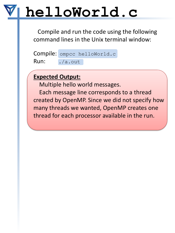Compile and run the code using the following command lines in the Unix terminal window:

Compile: ompcc helloWorld.c Run: ./a.out

#### **Expected Output:**

Multiple hello world messages.

Each message line corresponds to a thread created by OpenMP. Since we did not specify how many threads we wanted, OpenMP creates one thread for each processor available in the run.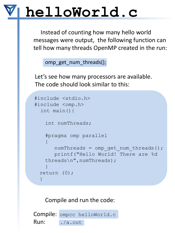Instead of counting how many hello world messages were output, the following function can tell how many threads OpenMP created in the run:

omp\_get\_num\_threads();

Let's see how many processors are available. The code should look similar to this:

```
#include <stdio.h>
#include <omp.h>
  int main(){
   int numThreads;
   #pragma omp parallel
   {
      numThreads = omp qet num threads();
      printf("Hello World! There are %d 
   threads\n",numThreads);
   }
 return (0);
  }
```
#### Compile and run the code:

Compile: ompcc helloWorld.c Run: ./a.out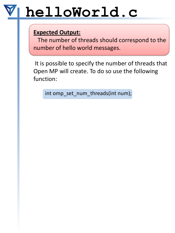#### **Expected Output:**

The number of threads should correspond to the number of hello world messages.

It is possible to specify the number of threads that Open MP will create. To do so use the following function:

int omp\_set\_num\_threads(int num);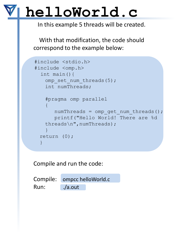In this example 5 threads will be created.

With that modification, the code should correspond to the example below:

```
#include <stdio.h>
#include <omp.h>
  int main(){
   omp set num threads(5);
   int numThreads;
   #pragma omp parallel
   \{numThreads = omp qet num threads();
      printf("Hello World! There are %d 
   threads\n",numThreads);
   }
 return (0);
  }
```
Compile and run the code:

Compile: ompcc helloWorld.c Run: ./a.out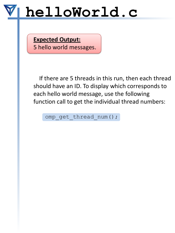**Expected Output:** 5 hello world messages.

If there are 5 threads in this run, then each thread should have an ID. To display which corresponds to each hello world message, use the following function call to get the individual thread numbers:

omp get thread num();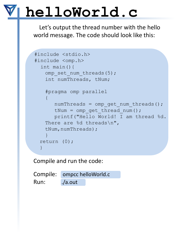Let's output the thread number with the hello world message. The code should look like this:

```
#include <stdio.h>
#include <omp.h>
  int main(){
   omp set num threads(5);
   int numThreads, tNum;
   #pragma omp parallel
   \{numThreads = omp qet num threads();
      tNum = omp qet thread num();
      printf("Hello World! I am thread %d. 
   There are %d threads\n",
   tNum, numThreads);
   }
 return (0);
 }
```
Compile and run the code:

Compile: ompcc helloWorld.c Run: ./a.out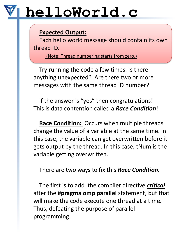#### **Expected Output:**

Each hello world message should contain its own thread ID.

(Note: Thread numbering starts from zero.)

Try running the code a few times. Is there anything unexpected? Are there two or more messages with the same thread ID number?

If the answer is "yes" then congratulations! This is data contention called a *Race Condition*!

**Race Condition:** Occurs when multiple threads change the value of a variable at the same time. In this case, the variable can get overwritten before it gets output by the thread. In this case, tNum is the variable getting overwritten.

There are two ways to fix this *Race Condition.*

The first is to add the compiler directive *critical* after the **#pragma omp parallel** statement, but that will make the code execute one thread at a time. Thus, defeating the purpose of parallel programming.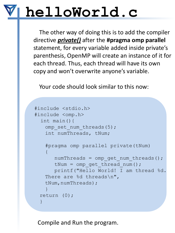The other way of doing this is to add the compiler directive *private()* after the **#pragma omp parallel**  statement, for every variable added inside private's parenthesis, OpenMP will create an instance of it for each thread. Thus, each thread will have its own copy and won't overwrite anyone's variable.

Your code should look similar to this now:

```
#include <stdio.h>
#include <omp.h>
  int main(){
   omp set num threads(5);
   int numThreads, tNum;
   #pragma omp parallel private(tNum)
   {
      numThreads = omp qet num threads();
      tNum = omp qet thread num();
      printf("Hello World! I am thread %d. 
   There are %d threads\n",
   tNum, numThreads);
   }
 return (0);
  }
```
Compile and Run the program.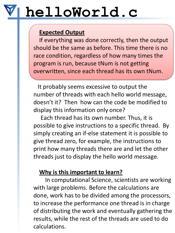#### **Expected Output**

If everything was done correctly, then the output should be the same as before. This time there is no race condition, regardless of how many times the program is run, because tNum is not getting overwritten, since each thread has its own tNum.

It probably seems excessive to output the number of threads with each hello world message, doesn't it? Then how can the code be modified to display this information only once?

Each thread has its own number. Thus, it is possible to give instructions to a specific thread. By simply creating an if-else statement it is possible to give thread zero, for example, the instructions to print how many threads there are and let the other threads just to display the hello world message.

#### **Why is this important to learn?**

In computational Science, scientists are working with large problems. Before the calculations are done, work has to be divided among the processors, to increase the performance one thread is in charge of distributing the work and eventually gathering the results, while the rest of the threads are used to do calculations.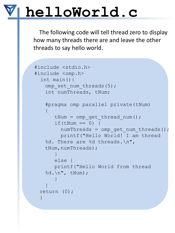The following code will tell thread zero to display how many threads there are and leave the other threads to say hello world.

```
#include <stdio.h>
#include <omp.h>
  int main(){
   omp set num threads(5);
   int numThreads, tNum;
   #pragma omp parallel private(tNum)
    {
       tNum = omp get thread num();
       if(tNum == 0) {
         numThreads = omp qet num threads();
         printf("Hello World! I am thread 
   %d. There are %d threads.\n", 
   tNum, numThreads);
       }
       else {
       printf("Hello World from thread 
   \delta d. \n\in \mathbb{N}, tNum);
       }
    }
 return (0);
  }
```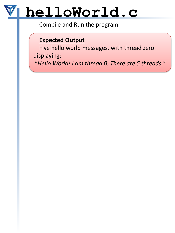Compile and Run the program.

#### **Expected Output**

Five hello world messages, with thread zero displaying:

"*Hello World! I am thread 0. There are 5 threads."*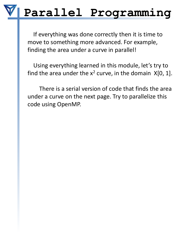#### **Parallel Programming**

If everything was done correctly then it is time to move to something more advanced. For example, finding the area under a curve in parallel!

Using everything learned in this module, let's try to find the area under the  $x^2$  curve, in the domain  $X[0, 1]$ .

There is a serial version of code that finds the area under a curve on the next page. Try to parallelize this code using OpenMP.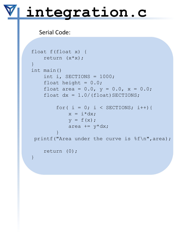#### **integration.c**

Serial Code:

```
float f(float x) { 
    return (x*x); 
}
int main()
    int i, SECTIONS = 1000;
    float height = 0.0;
    float area = 0.0, y = 0.0, x = 0.0;
    float dx = 1.0/(float) SECTIONS;
        for( i = 0; i < SECTIONS; i++) {
            x = i * dx;y = f(x);
            area += y * dx;}
printf("Area under the curve is f\r", area);
    return (0);
}
```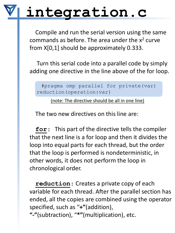### **integration.c**

Compile and run the serial version using the same commands as before. The area under the  $x^2$  curve from X[0,1] should be approximately 0.333.

Turn this serial code into a parallel code by simply adding one directive in the line above of the for loop.

#pragma omp parallel for private(var) reduction(operation:var)

(note: The directive should be all in one line)

The two new directives on this line are:

**for**: This part of the directive tells the compiler that the next line is a for loop and then it divides the loop into equal parts for each thread, but the order that the loop is performed is nondeterministic, in other words, it does not perform the loop in chronological order.

**reduction**: Creates a private copy of each variable for each thread. After the parallel section has ended, all the copies are combined using the operator specified, such as "**+"**(addition), **"-"**(subtraction), "**\*"**(multiplication), etc.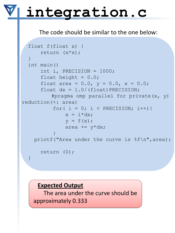### **integration.c**

#### The code should be similar to the one below:

```
float f(float x) { 
      return (x * x);
  }
  int main()
      int i, PRECISION = 1000;
      float height = 0.0;
      float area = 0.0, y = 0.0, x = 0.0;
      float dx = 1.0/(float) PRECISION;#pragma omp parallel for private(x, y) 
reduction(+: area)
          for( i = 0; i < PRECISION; i++) {
               x = i * dx;y = f(x);
               area += v * dx;
           }
    printf("Area under the curve is f\n", area);
      return (0);
  }
```
#### **Expected Output**

The area under the curve should be approximately 0.333